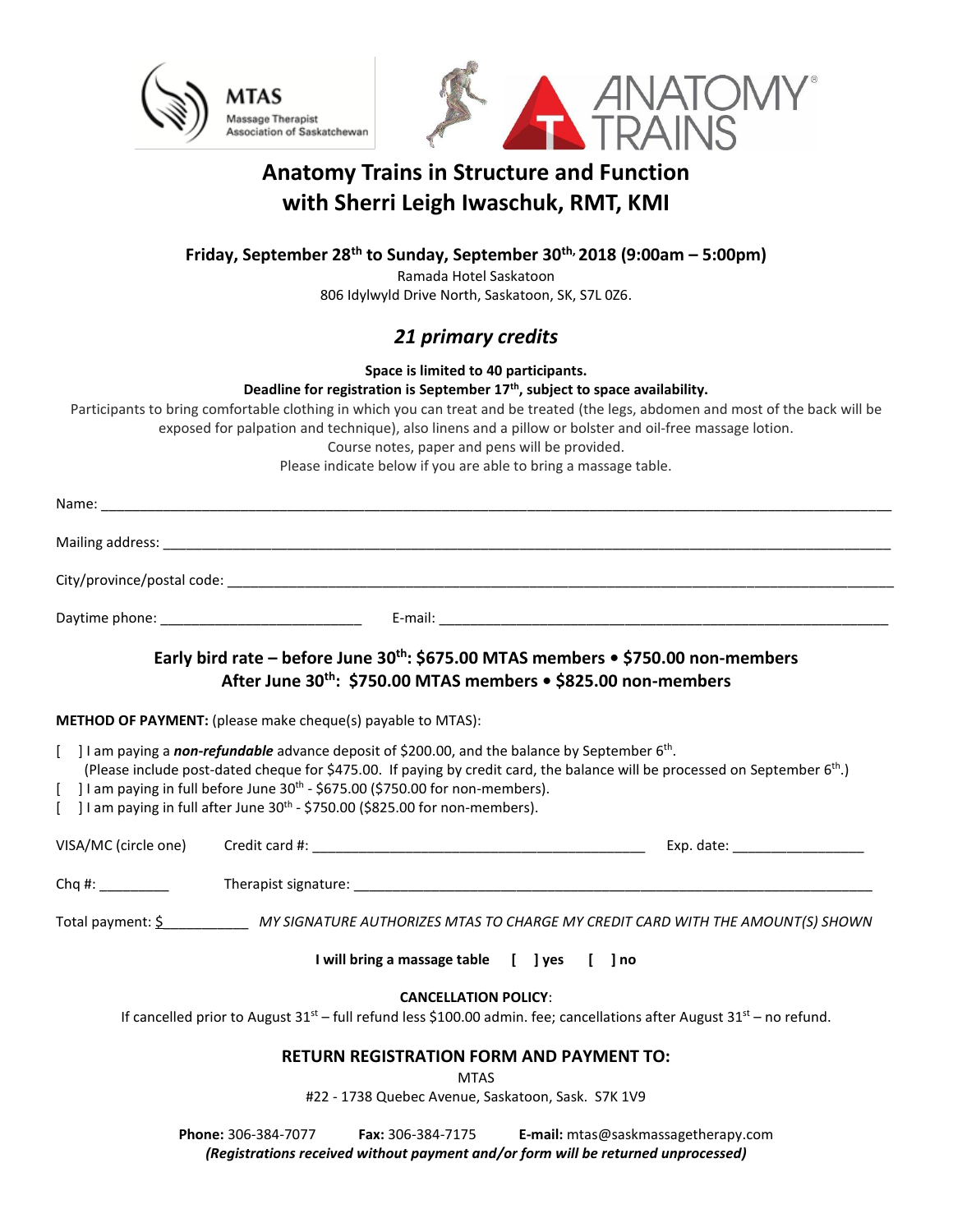



# **Anatomy Trains in Structure and Function with Sherri Leigh Iwaschuk, RMT, KMI**

**Friday, September 28th to Sunday, September 30th, 2018 (9:00am – 5:00pm)**

Ramada Hotel Saskatoon

806 Idylwyld Drive North, Saskatoon, SK, S7L 0Z6.

## *21 primary credits*

**Space is limited to 40 participants.** 

**Deadline for registration is September 17th , subject to space availability.**

Participants to bring comfortable clothing in which you can treat and be treated (the legs, abdomen and most of the back will be exposed for palpation and technique), also linens and a pillow or bolster and oil-free massage lotion.

Course notes, paper and pens will be provided.

Please indicate below if you are able to bring a massage table.

|                                                                                                                                                                          |                     |                                                                   | Early bird rate – before June $30^{th}$ : \$675.00 MTAS members $\bullet$ \$750.00 non-members<br>After June 30th: \$750.00 MTAS members . \$825.00 non-members                                                                     |
|--------------------------------------------------------------------------------------------------------------------------------------------------------------------------|---------------------|-------------------------------------------------------------------|-------------------------------------------------------------------------------------------------------------------------------------------------------------------------------------------------------------------------------------|
| <b>METHOD OF PAYMENT:</b> (please make cheque(s) payable to MTAS):                                                                                                       |                     |                                                                   |                                                                                                                                                                                                                                     |
| [ ] I am paying in full before June $30^{th}$ - \$675.00 (\$750.00 for non-members).<br>[ ] I am paying in full after June $30th$ - \$750.00 (\$825.00 for non-members). |                     |                                                                   | [ ] I am paying a non-refundable advance deposit of \$200.00, and the balance by September $6th$ .<br>(Please include post-dated cheque for \$475.00. If paying by credit card, the balance will be processed on September $6th$ .) |
| VISA/MC (circle one)                                                                                                                                                     |                     |                                                                   |                                                                                                                                                                                                                                     |
| Chq #: $\frac{1}{2}$                                                                                                                                                     |                     |                                                                   |                                                                                                                                                                                                                                     |
|                                                                                                                                                                          |                     |                                                                   | Total payment: Shown MY SIGNATURE AUTHORIZES MTAS TO CHARGE MY CREDIT CARD WITH THE AMOUNT(S) SHOWN                                                                                                                                 |
|                                                                                                                                                                          |                     | I will bring a massage table [ ] yes [ ] no                       |                                                                                                                                                                                                                                     |
|                                                                                                                                                                          |                     | <b>CANCELLATION POLICY:</b>                                       | If cancelled prior to August $31^{st}$ – full refund less \$100.00 admin. fee; cancellations after August $31^{st}$ – no refund.                                                                                                    |
|                                                                                                                                                                          |                     | <b>MTAS</b><br>#22 - 1738 Quebec Avenue, Saskatoon, Sask. S7K 1V9 | <b>RETURN REGISTRATION FORM AND PAYMENT TO:</b>                                                                                                                                                                                     |
|                                                                                                                                                                          | Phone: 306-384-7077 | Fax: 306-384-7175                                                 | E-mail: mtas@saskmassagetherapy.com                                                                                                                                                                                                 |

*(Registrations received without payment and/or form will be returned unprocessed)*